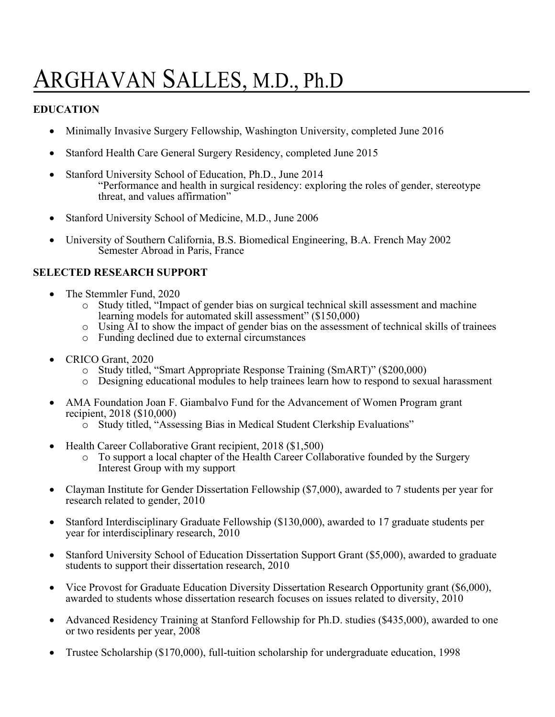# ARGHAVAN SALLES, M.D., Ph.D

## **EDUCATION**

- Minimally Invasive Surgery Fellowship, Washington University, completed June 2016
- Stanford Health Care General Surgery Residency, completed June 2015
- Stanford University School of Education, Ph.D., June 2014 "Performance and health in surgical residency: exploring the roles of gender, stereotype threat, and values affirmation"
- Stanford University School of Medicine, M.D., June 2006
- University of Southern California, B.S. Biomedical Engineering, B.A. French May 2002 Semester Abroad in Paris, France

### **SELECTED RESEARCH SUPPORT**

- The Stemmler Fund, 2020
	- o Study titled, "Impact of gender bias on surgical technical skill assessment and machine learning models for automated skill assessment" (\$150,000)
	- $\circ$  Using AI to show the impact of gender bias on the assessment of technical skills of trainees
	- o Funding declined due to external circumstances
- CRICO Grant, 2020
	- o Study titled, "Smart Appropriate Response Training (SmART)" (\$200,000)
	- o Designing educational modules to help trainees learn how to respond to sexual harassment
- AMA Foundation Joan F. Giambalvo Fund for the Advancement of Women Program grant recipient, 2018 (\$10,000)
	- o Study titled, "Assessing Bias in Medical Student Clerkship Evaluations"
- Health Career Collaborative Grant recipient, 2018 (\$1,500)
	- o To support a local chapter of the Health Career Collaborative founded by the Surgery Interest Group with my support
- Clayman Institute for Gender Dissertation Fellowship (\$7,000), awarded to 7 students per year for research related to gender, 2010
- Stanford Interdisciplinary Graduate Fellowship (\$130,000), awarded to 17 graduate students per year for interdisciplinary research, 2010
- Stanford University School of Education Dissertation Support Grant (\$5,000), awarded to graduate students to support their dissertation research, 2010
- Vice Provost for Graduate Education Diversity Dissertation Research Opportunity grant (\$6,000), awarded to students whose dissertation research focuses on issues related to diversity, 2010
- Advanced Residency Training at Stanford Fellowship for Ph.D. studies (\$435,000), awarded to one or two residents per year, 2008
- Trustee Scholarship (\$170,000), full-tuition scholarship for undergraduate education, 1998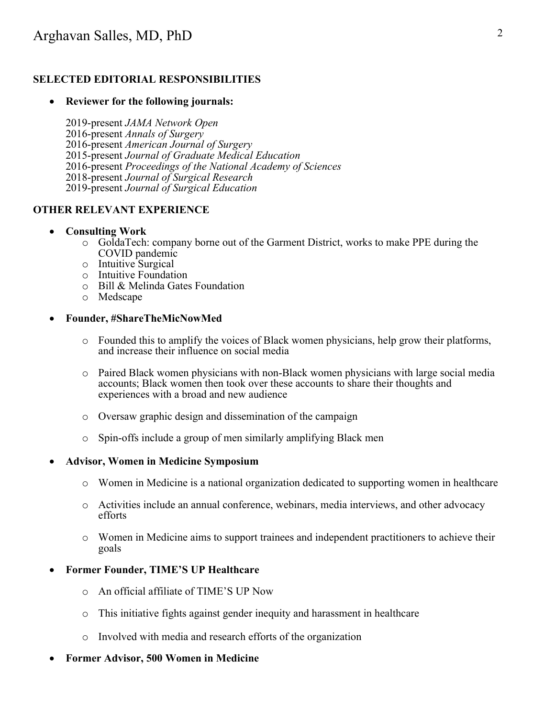## **SELECTED EDITORIAL RESPONSIBILITIES**

#### • **Reviewer for the following journals:**

2019-present *JAMA Network Open* 2016-present *Annals of Surgery* 2016-present *American Journal of Surgery* 2015-present *Journal of Graduate Medical Education* 2016-present *Proceedings of the National Academy of Sciences* 2018-present *Journal of Surgical Research* 2019-present *Journal of Surgical Education*

#### **OTHER RELEVANT EXPERIENCE**

#### • **Consulting Work**

- o GoldaTech: company borne out of the Garment District, works to make PPE during the COVID pandemic
- o Intuitive Surgical
- o Intuitive Foundation
- o Bill & Melinda Gates Foundation
- o Medscape

#### • **Founder, #ShareTheMicNowMed**

- o Founded this to amplify the voices of Black women physicians, help grow their platforms, and increase their influence on social media
- o Paired Black women physicians with non-Black women physicians with large social media accounts; Black women then took over these accounts to share their thoughts and experiences with a broad and new audience
- o Oversaw graphic design and dissemination of the campaign
- o Spin-offs include a group of men similarly amplifying Black men

#### • **Advisor, Women in Medicine Symposium**

- o Women in Medicine is a national organization dedicated to supporting women in healthcare
- o Activities include an annual conference, webinars, media interviews, and other advocacy efforts
- o Women in Medicine aims to support trainees and independent practitioners to achieve their goals

#### • **Former Founder, TIME'S UP Healthcare**

- o An official affiliate of TIME'S UP Now
- o This initiative fights against gender inequity and harassment in healthcare
- o Involved with media and research efforts of the organization
- **Former Advisor, 500 Women in Medicine**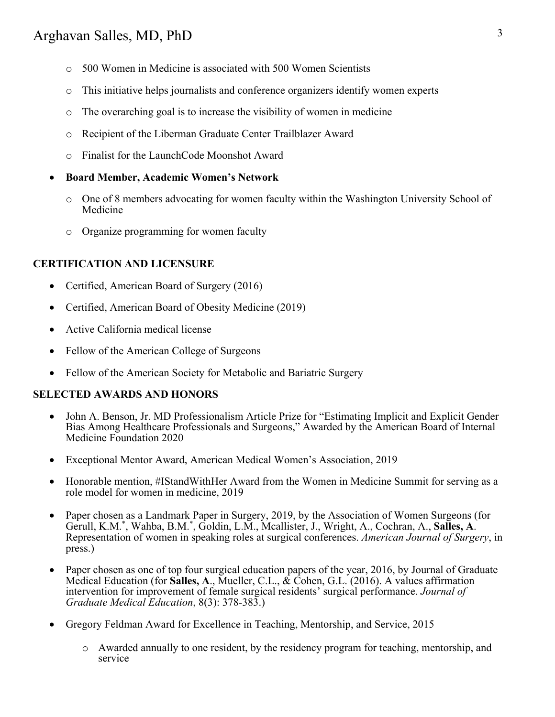- o 500 Women in Medicine is associated with 500 Women Scientists
- o This initiative helps journalists and conference organizers identify women experts
- o The overarching goal is to increase the visibility of women in medicine
- o Recipient of the Liberman Graduate Center Trailblazer Award
- o Finalist for the LaunchCode Moonshot Award
- **Board Member, Academic Women's Network**
	- o One of 8 members advocating for women faculty within the Washington University School of Medicine
	- o Organize programming for women faculty

#### **CERTIFICATION AND LICENSURE**

- Certified, American Board of Surgery (2016)
- Certified, American Board of Obesity Medicine (2019)
- Active California medical license
- Fellow of the American College of Surgeons
- Fellow of the American Society for Metabolic and Bariatric Surgery

#### **SELECTED AWARDS AND HONORS**

- John A. Benson, Jr. MD Professionalism Article Prize for "Estimating Implicit and Explicit Gender Bias Among Healthcare Professionals and Surgeons," Awarded by the American Board of Internal Medicine Foundation 2020
- Exceptional Mentor Award, American Medical Women's Association, 2019
- Honorable mention, #IStandWithHer Award from the Women in Medicine Summit for serving as a role model for women in medicine, 2019
- Paper chosen as a Landmark Paper in Surgery, 2019, by the Association of Women Surgeons (for Gerull, K.M.\* , Wahba, B.M.\* Representation of women in speaking roles at surgical conferences. American Journal of Surgery, in press.)
- Paper chosen as one of top four surgical education papers of the year, 2016, by Journal of Graduate Medical Education (for **Salles, A**., Mueller, C.L., & Cohen, G.L. (2016). A values affirmation intervention for improvement of female surgical residents' surgical performance. *Journal of Graduate Medical Education*, 8(3): 378-383.)
- Gregory Feldman Award for Excellence in Teaching, Mentorship, and Service, 2015
	- o Awarded annually to one resident, by the residency program for teaching, mentorship, and service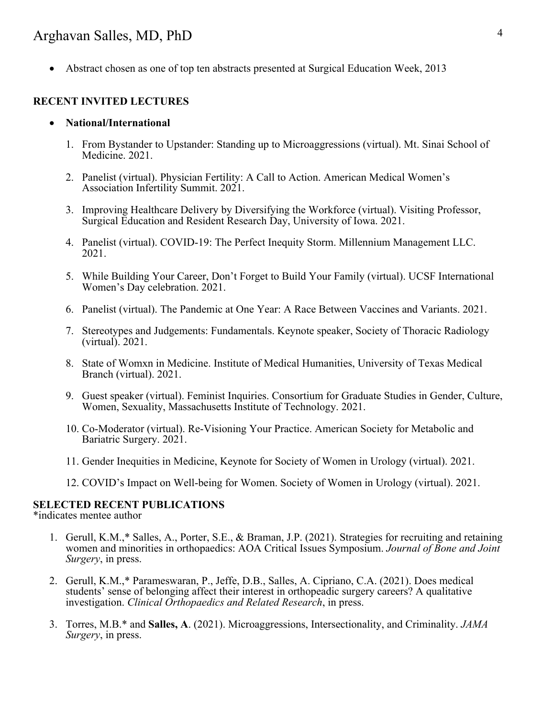# Arghavan Salles, MD, PhD 4

• Abstract chosen as one of top ten abstracts presented at Surgical Education Week, 2013

#### **RECENT INVITED LECTURES**

- **National/International**
	- 1. From Bystander to Upstander: Standing up to Microaggressions (virtual). Mt. Sinai School of Medicine. 2021.
	- 2. Panelist (virtual). Physician Fertility: A Call to Action. American Medical Women's Association Infertility Summit. 2021.
	- 3. Improving Healthcare Delivery by Diversifying the Workforce (virtual). Visiting Professor, Surgical Education and Resident Research Day, University of Iowa. 2021.
	- 4. Panelist (virtual). COVID-19: The Perfect Inequity Storm. Millennium Management LLC. 2021.
	- 5. While Building Your Career, Don't Forget to Build Your Family (virtual). UCSF International Women's Day celebration. 2021.
	- 6. Panelist (virtual). The Pandemic at One Year: A Race Between Vaccines and Variants. 2021.
	- 7. Stereotypes and Judgements: Fundamentals. Keynote speaker, Society of Thoracic Radiology (virtual). 2021.
	- 8. State of Womxn in Medicine. Institute of Medical Humanities, University of Texas Medical Branch (virtual). 2021.
	- 9. Guest speaker (virtual). Feminist Inquiries. Consortium for Graduate Studies in Gender, Culture, Women, Sexuality, Massachusetts Institute of Technology. 2021.
	- 10. Co-Moderator (virtual). Re-Visioning Your Practice. American Society for Metabolic and Bariatric Surgery. 2021.
	- 11. Gender Inequities in Medicine, Keynote for Society of Women in Urology (virtual). 2021.
	- 12. COVID's Impact on Well-being for Women. Society of Women in Urology (virtual). 2021.

#### **SELECTED RECENT PUBLICATIONS**

\*indicates mentee author

- 1. Gerull, K.M.,\* Salles, A., Porter, S.E., & Braman, J.P. (2021). Strategies for recruiting and retaining women and minorities in orthopaedics: AOA Critical Issues Symposium. *Journal of Bone and Joint Surgery*, in press.
- 2. Gerull, K.M.,\* Parameswaran, P., Jeffe, D.B., Salles, A. Cipriano, C.A. (2021). Does medical students' sense of belonging affect their interest in orthopeadic surgery careers? A qualitative investigation. *Clinical Orthopaedics and Related Research*, in press.
- 3. Torres, M.B.\* and **Salles, A**. (2021). Microaggressions, Intersectionality, and Criminality. *JAMA Surgery*, in press.